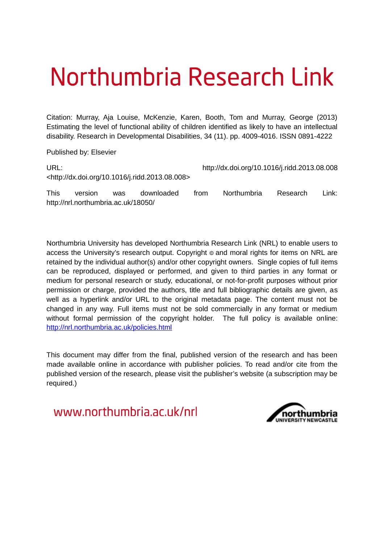# Northumbria Research Link

Citation: Murray, Aja Louise, McKenzie, Karen, Booth, Tom and Murray, George (2013) Estimating the level of functional ability of children identified as likely to have an intellectual disability. Research in Developmental Disabilities, 34 (11). pp. 4009-4016. ISSN 0891-4222

Published by: Elsevier

http://nrl.northumbria.ac.uk/18050/

| URL:        |         |     |                                                                |      | http://dx.doi.org/10.1016/j.ridd.2013.08.008 |          |         |  |  |
|-------------|---------|-----|----------------------------------------------------------------|------|----------------------------------------------|----------|---------|--|--|
|             |         |     | <http: 10.1016="" dx.doi.org="" j.ridd.2013.08.008=""></http:> |      |                                              |          |         |  |  |
| <b>This</b> | version | was | downloaded                                                     | trom | <b>Northumbria</b>                           | Research | ∪ink: ∟ |  |  |

Northumbria University has developed Northumbria Research Link (NRL) to enable users to access the University's research output. Copyright  $\circ$  and moral rights for items on NRL are retained by the individual author(s) and/or other copyright owners. Single copies of full items can be reproduced, displayed or performed, and given to third parties in any format or medium for personal research or study, educational, or not-for-profit purposes without prior permission or charge, provided the authors, title and full bibliographic details are given, as well as a hyperlink and/or URL to the original metadata page. The content must not be changed in any way. Full items must not be sold commercially in any format or medium without formal permission of the copyright holder. The full policy is available online: <http://nrl.northumbria.ac.uk/policies.html>

This document may differ from the final, published version of the research and has been made available online in accordance with publisher policies. To read and/or cite from the published version of the research, please visit the publisher's website (a subscription may be required.)

www.northumbria.ac.uk/nrl

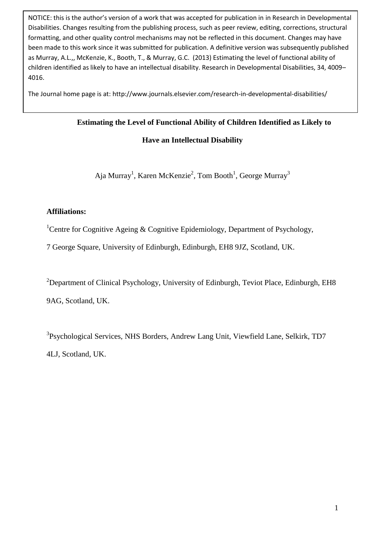NOTICE: this is the author's version of a work that was accepted for publication in in Research in Developmental Disabilities. Changes resulting from the publishing process, such as peer review, editing, corrections, structural formatting, and other quality control mechanisms may not be reflected in this document. Changes may have been made to this work since it was submitted for publication. A definitive version was subsequently published as Murray, A.L.,, McKenzie, K., Booth, T., & Murray, G.C. (2013) Estimating the level of functional ability of children identified as likely to have an intellectual disability. Research in Developmental Disabilities, 34, 4009– 4016.

The Journal home page is at: http://www.journals.elsevier.com/research-in-developmental-disabilities/

# **Estimating the Level of Functional Ability of Children Identified as Likely to**

# **Have an Intellectual Disability**

Aja Murray<sup>1</sup>, Karen McKenzie<sup>2</sup>, Tom Booth<sup>1</sup>, George Murray<sup>3</sup>

# **Affiliations:**

<sup>1</sup> Centre for Cognitive Ageing & Cognitive Epidemiology, Department of Psychology,

7 George Square, University of Edinburgh, Edinburgh, EH8 9JZ, Scotland, UK.

<sup>2</sup>Department of Clinical Psychology, University of Edinburgh, Teviot Place, Edinburgh, EH8 9AG, Scotland, UK.

<sup>3</sup>Psychological Services, NHS Borders, Andrew Lang Unit, Viewfield Lane, Selkirk, TD7 4LJ, Scotland, UK.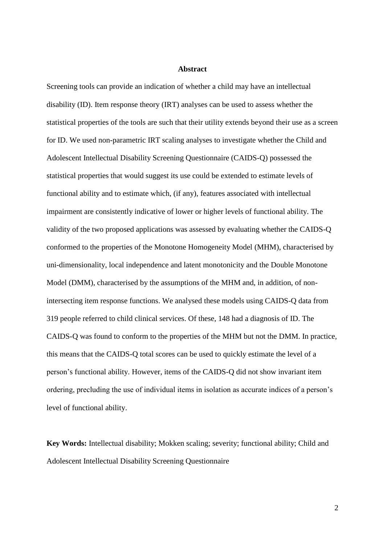#### **Abstract**

Screening tools can provide an indication of whether a child may have an intellectual disability (ID). Item response theory (IRT) analyses can be used to assess whether the statistical properties of the tools are such that their utility extends beyond their use as a screen for ID. We used non-parametric IRT scaling analyses to investigate whether the Child and Adolescent Intellectual Disability Screening Questionnaire (CAIDS-Q) possessed the statistical properties that would suggest its use could be extended to estimate levels of functional ability and to estimate which, (if any), features associated with intellectual impairment are consistently indicative of lower or higher levels of functional ability. The validity of the two proposed applications was assessed by evaluating whether the CAIDS-Q conformed to the properties of the Monotone Homogeneity Model (MHM), characterised by uni-dimensionality, local independence and latent monotonicity and the Double Monotone Model (DMM), characterised by the assumptions of the MHM and, in addition, of nonintersecting item response functions. We analysed these models using CAIDS-Q data from 319 people referred to child clinical services. Of these, 148 had a diagnosis of ID. The CAIDS-Q was found to conform to the properties of the MHM but not the DMM. In practice, this means that the CAIDS-Q total scores can be used to quickly estimate the level of a person's functional ability. However, items of the CAIDS-Q did not show invariant item ordering, precluding the use of individual items in isolation as accurate indices of a person's level of functional ability.

**Key Words:** Intellectual disability; Mokken scaling; severity; functional ability; Child and Adolescent Intellectual Disability Screening Questionnaire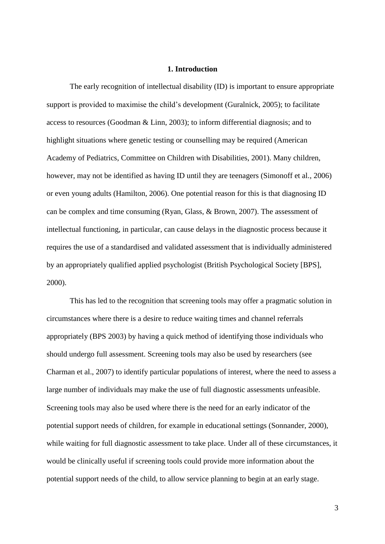## **1. Introduction**

The early recognition of intellectual disability (ID) is important to ensure appropriate support is provided to maximise the child's development (Guralnick, 2005); to facilitate access to resources (Goodman & Linn, 2003); to inform differential diagnosis; and to highlight situations where genetic testing or counselling may be required (American Academy of Pediatrics, Committee on Children with Disabilities, 2001). Many children, however, may not be identified as having ID until they are teenagers (Simonoff et al., 2006) or even young adults (Hamilton, 2006). One potential reason for this is that diagnosing ID can be complex and time consuming (Ryan, Glass, & Brown, 2007). The assessment of intellectual functioning, in particular, can cause delays in the diagnostic process because it requires the use of a standardised and validated assessment that is individually administered by an appropriately qualified applied psychologist (British Psychological Society [BPS], 2000).

This has led to the recognition that screening tools may offer a pragmatic solution in circumstances where there is a desire to reduce waiting times and channel referrals appropriately (BPS 2003) by having a quick method of identifying those individuals who should undergo full assessment. Screening tools may also be used by researchers (see Charman et al., 2007) to identify particular populations of interest, where the need to assess a large number of individuals may make the use of full diagnostic assessments unfeasible. Screening tools may also be used where there is the need for an early indicator of the potential support needs of children, for example in educational settings (Sonnander, 2000), while waiting for full diagnostic assessment to take place. Under all of these circumstances, it would be clinically useful if screening tools could provide more information about the potential support needs of the child, to allow service planning to begin at an early stage.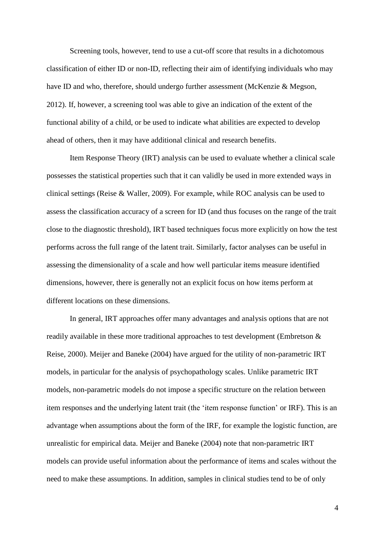Screening tools, however, tend to use a cut-off score that results in a dichotomous classification of either ID or non-ID, reflecting their aim of identifying individuals who may have ID and who, therefore, should undergo further assessment (McKenzie & Megson, 2012). If, however, a screening tool was able to give an indication of the extent of the functional ability of a child, or be used to indicate what abilities are expected to develop ahead of others, then it may have additional clinical and research benefits.

Item Response Theory (IRT) analysis can be used to evaluate whether a clinical scale possesses the statistical properties such that it can validly be used in more extended ways in clinical settings (Reise & Waller, 2009). For example, while ROC analysis can be used to assess the classification accuracy of a screen for ID (and thus focuses on the range of the trait close to the diagnostic threshold), IRT based techniques focus more explicitly on how the test performs across the full range of the latent trait. Similarly, factor analyses can be useful in assessing the dimensionality of a scale and how well particular items measure identified dimensions, however, there is generally not an explicit focus on how items perform at different locations on these dimensions.

In general, IRT approaches offer many advantages and analysis options that are not readily available in these more traditional approaches to test development (Embretson & Reise, 2000). Meijer and Baneke (2004) have argued for the utility of non-parametric IRT models, in particular for the analysis of psychopathology scales. Unlike parametric IRT models, non-parametric models do not impose a specific structure on the relation between item responses and the underlying latent trait (the 'item response function' or IRF). This is an advantage when assumptions about the form of the IRF, for example the logistic function, are unrealistic for empirical data. Meijer and Baneke (2004) note that non-parametric IRT models can provide useful information about the performance of items and scales without the need to make these assumptions. In addition, samples in clinical studies tend to be of only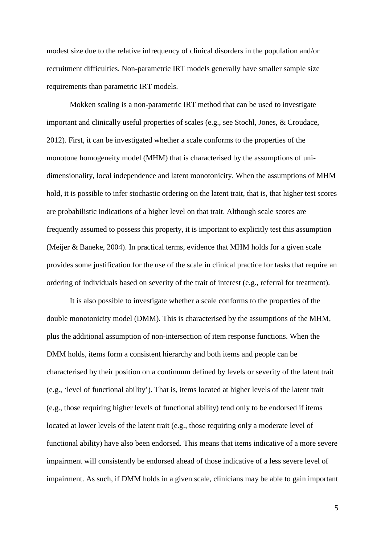modest size due to the relative infrequency of clinical disorders in the population and/or recruitment difficulties. Non-parametric IRT models generally have smaller sample size requirements than parametric IRT models.

Mokken scaling is a non-parametric IRT method that can be used to investigate important and clinically useful properties of scales (e.g., see Stochl, Jones, & Croudace, 2012). First, it can be investigated whether a scale conforms to the properties of the monotone homogeneity model (MHM) that is characterised by the assumptions of unidimensionality, local independence and latent monotonicity. When the assumptions of MHM hold, it is possible to infer stochastic ordering on the latent trait, that is, that higher test scores are probabilistic indications of a higher level on that trait. Although scale scores are frequently assumed to possess this property, it is important to explicitly test this assumption (Meijer & Baneke, 2004). In practical terms, evidence that MHM holds for a given scale provides some justification for the use of the scale in clinical practice for tasks that require an ordering of individuals based on severity of the trait of interest (e.g., referral for treatment).

It is also possible to investigate whether a scale conforms to the properties of the double monotonicity model (DMM). This is characterised by the assumptions of the MHM, plus the additional assumption of non-intersection of item response functions. When the DMM holds, items form a consistent hierarchy and both items and people can be characterised by their position on a continuum defined by levels or severity of the latent trait (e.g., 'level of functional ability'). That is, items located at higher levels of the latent trait (e.g., those requiring higher levels of functional ability) tend only to be endorsed if items located at lower levels of the latent trait (e.g., those requiring only a moderate level of functional ability) have also been endorsed. This means that items indicative of a more severe impairment will consistently be endorsed ahead of those indicative of a less severe level of impairment. As such, if DMM holds in a given scale, clinicians may be able to gain important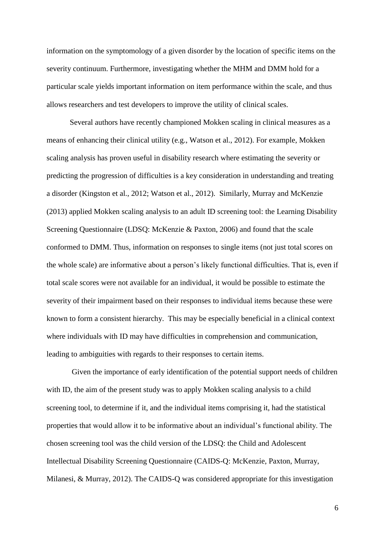information on the symptomology of a given disorder by the location of specific items on the severity continuum. Furthermore, investigating whether the MHM and DMM hold for a particular scale yields important information on item performance within the scale, and thus allows researchers and test developers to improve the utility of clinical scales.

Several authors have recently championed Mokken scaling in clinical measures as a means of enhancing their clinical utility (e.g., Watson et al., 2012). For example, Mokken scaling analysis has proven useful in disability research where estimating the severity or predicting the progression of difficulties is a key consideration in understanding and treating a disorder (Kingston et al., 2012; Watson et al., 2012). Similarly, Murray and McKenzie (2013) applied Mokken scaling analysis to an adult ID screening tool: the Learning Disability Screening Questionnaire (LDSQ: McKenzie & Paxton, 2006) and found that the scale conformed to DMM. Thus, information on responses to single items (not just total scores on the whole scale) are informative about a person's likely functional difficulties. That is, even if total scale scores were not available for an individual, it would be possible to estimate the severity of their impairment based on their responses to individual items because these were known to form a consistent hierarchy. This may be especially beneficial in a clinical context where individuals with ID may have difficulties in comprehension and communication, leading to ambiguities with regards to their responses to certain items.

 Given the importance of early identification of the potential support needs of children with ID, the aim of the present study was to apply Mokken scaling analysis to a child screening tool, to determine if it, and the individual items comprising it, had the statistical properties that would allow it to be informative about an individual's functional ability. The chosen screening tool was the child version of the LDSQ: the Child and Adolescent Intellectual Disability Screening Questionnaire (CAIDS-Q: McKenzie, Paxton, Murray, Milanesi, & Murray, 2012). The CAIDS-Q was considered appropriate for this investigation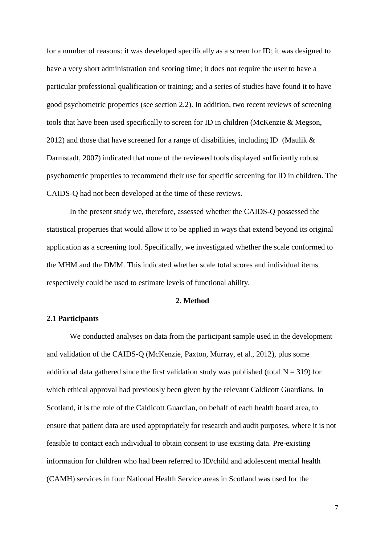for a number of reasons: it was developed specifically as a screen for ID; it was designed to have a very short administration and scoring time; it does not require the user to have a particular professional qualification or training; and a series of studies have found it to have good psychometric properties (see section 2.2). In addition, two recent reviews of screening tools that have been used specifically to screen for ID in children (McKenzie & Megson, 2012) and those that have screened for a range of disabilities, including ID (Maulik  $\&$ Darmstadt, 2007) indicated that none of the reviewed tools displayed sufficiently robust psychometric properties to recommend their use for specific screening for ID in children. The CAIDS-Q had not been developed at the time of these reviews.

In the present study we, therefore, assessed whether the CAIDS-Q possessed the statistical properties that would allow it to be applied in ways that extend beyond its original application as a screening tool. Specifically, we investigated whether the scale conformed to the MHM and the DMM. This indicated whether scale total scores and individual items respectively could be used to estimate levels of functional ability.

#### **2. Method**

## **2.1 Participants**

We conducted analyses on data from the participant sample used in the development and validation of the CAIDS-Q (McKenzie, Paxton, Murray, et al., 2012), plus some additional data gathered since the first validation study was published (total  $N = 319$ ) for which ethical approval had previously been given by the relevant Caldicott Guardians. In Scotland, it is the role of the Caldicott Guardian, on behalf of each health board area, to ensure that patient data are used appropriately for research and audit purposes, where it is not feasible to contact each individual to obtain consent to use existing data. Pre-existing information for children who had been referred to ID/child and adolescent mental health (CAMH) services in four National Health Service areas in Scotland was used for the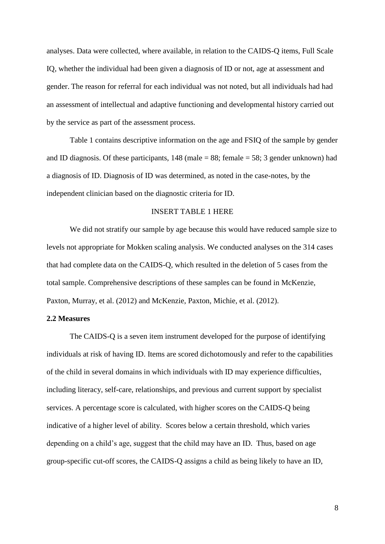analyses. Data were collected, where available, in relation to the CAIDS-Q items, Full Scale IQ, whether the individual had been given a diagnosis of ID or not, age at assessment and gender. The reason for referral for each individual was not noted, but all individuals had had an assessment of intellectual and adaptive functioning and developmental history carried out by the service as part of the assessment process.

Table 1 contains descriptive information on the age and FSIQ of the sample by gender and ID diagnosis. Of these participants,  $148$  (male = 88; female = 58; 3 gender unknown) had a diagnosis of ID. Diagnosis of ID was determined, as noted in the case-notes, by the independent clinician based on the diagnostic criteria for ID.

## INSERT TABLE 1 HERE

We did not stratify our sample by age because this would have reduced sample size to levels not appropriate for Mokken scaling analysis. We conducted analyses on the 314 cases that had complete data on the CAIDS-Q, which resulted in the deletion of 5 cases from the total sample. Comprehensive descriptions of these samples can be found in McKenzie, Paxton, Murray, et al. (2012) and McKenzie, Paxton, Michie, et al. (2012).

## **2.2 Measures**

The CAIDS-Q is a seven item instrument developed for the purpose of identifying individuals at risk of having ID. Items are scored dichotomously and refer to the capabilities of the child in several domains in which individuals with ID may experience difficulties, including literacy, self-care, relationships, and previous and current support by specialist services. A percentage score is calculated, with higher scores on the CAIDS-Q being indicative of a higher level of ability. Scores below a certain threshold, which varies depending on a child's age, suggest that the child may have an ID. Thus, based on age group-specific cut-off scores, the CAIDS-Q assigns a child as being likely to have an ID,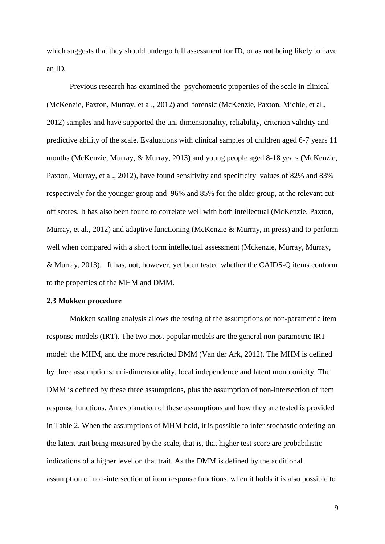which suggests that they should undergo full assessment for ID, or as not being likely to have an ID.

Previous research has examined the psychometric properties of the scale in clinical (McKenzie, Paxton, Murray, et al., 2012) and forensic (McKenzie, Paxton, Michie, et al., 2012) samples and have supported the uni-dimensionality, reliability, criterion validity and predictive ability of the scale. Evaluations with clinical samples of children aged 6-7 years 11 months (McKenzie, Murray, & Murray, 2013) and young people aged 8-18 years (McKenzie, Paxton, Murray, et al., 2012), have found sensitivity and specificity values of 82% and 83% respectively for the younger group and 96% and 85% for the older group, at the relevant cutoff scores. It has also been found to correlate well with both intellectual (McKenzie, Paxton, Murray, et al., 2012) and adaptive functioning (McKenzie & Murray, in press) and to perform well when compared with a short form intellectual assessment (Mckenzie, Murray, Murray, & Murray, 2013). It has, not, however, yet been tested whether the CAIDS-Q items conform to the properties of the MHM and DMM.

#### **2.3 Mokken procedure**

Mokken scaling analysis allows the testing of the assumptions of non-parametric item response models (IRT). The two most popular models are the general non-parametric IRT model: the MHM, and the more restricted DMM (Van der Ark, 2012). The MHM is defined by three assumptions: uni-dimensionality, local independence and latent monotonicity. The DMM is defined by these three assumptions, plus the assumption of non-intersection of item response functions. An explanation of these assumptions and how they are tested is provided in Table 2. When the assumptions of MHM hold, it is possible to infer stochastic ordering on the latent trait being measured by the scale, that is, that higher test score are probabilistic indications of a higher level on that trait. As the DMM is defined by the additional assumption of non-intersection of item response functions, when it holds it is also possible to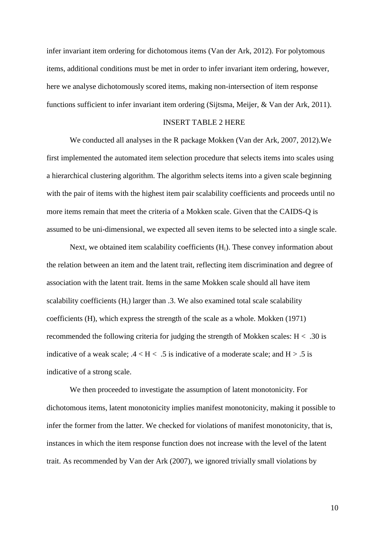infer invariant item ordering for dichotomous items (Van der Ark, 2012). For polytomous items, additional conditions must be met in order to infer invariant item ordering, however, here we analyse dichotomously scored items, making non-intersection of item response functions sufficient to infer invariant item ordering (Sijtsma, Meijer, & Van der Ark, 2011).

#### INSERT TABLE 2 HERE

We conducted all analyses in the R package Mokken (Van der Ark, 2007, 2012).We first implemented the automated item selection procedure that selects items into scales using a hierarchical clustering algorithm. The algorithm selects items into a given scale beginning with the pair of items with the highest item pair scalability coefficients and proceeds until no more items remain that meet the criteria of a Mokken scale. Given that the CAIDS-Q is assumed to be uni-dimensional, we expected all seven items to be selected into a single scale.

Next, we obtained item scalability coefficients (H<sub>i</sub>). These convey information about the relation between an item and the latent trait, reflecting item discrimination and degree of association with the latent trait. Items in the same Mokken scale should all have item scalability coefficients  $(H<sub>i</sub>)$  larger than .3. We also examined total scale scalability coefficients (H), which express the strength of the scale as a whole. Mokken (1971) recommended the following criteria for judging the strength of Mokken scales:  $H < .30$  is indicative of a weak scale;  $.4 < H < .5$  is indicative of a moderate scale; and  $H > .5$  is indicative of a strong scale.

We then proceeded to investigate the assumption of latent monotonicity. For dichotomous items, latent monotonicity implies manifest monotonicity, making it possible to infer the former from the latter. We checked for violations of manifest monotonicity, that is, instances in which the item response function does not increase with the level of the latent trait. As recommended by Van der Ark (2007), we ignored trivially small violations by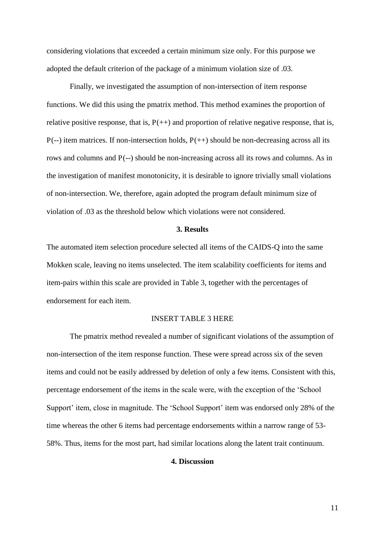considering violations that exceeded a certain minimum size only. For this purpose we adopted the default criterion of the package of a minimum violation size of .03.

Finally, we investigated the assumption of non-intersection of item response functions. We did this using the pmatrix method. This method examines the proportion of relative positive response, that is,  $P(+)$  and proportion of relative negative response, that is,  $P(-)$  item matrices. If non-intersection holds,  $P(+)$  should be non-decreasing across all its rows and columns and P(--) should be non-increasing across all its rows and columns. As in the investigation of manifest monotonicity, it is desirable to ignore trivially small violations of non-intersection. We, therefore, again adopted the program default minimum size of violation of .03 as the threshold below which violations were not considered.

## **3. Results**

The automated item selection procedure selected all items of the CAIDS-Q into the same Mokken scale, leaving no items unselected. The item scalability coefficients for items and item-pairs within this scale are provided in Table 3, together with the percentages of endorsement for each item.

#### INSERT TABLE 3 HERE

The pmatrix method revealed a number of significant violations of the assumption of non-intersection of the item response function. These were spread across six of the seven items and could not be easily addressed by deletion of only a few items. Consistent with this, percentage endorsement of the items in the scale were, with the exception of the 'School Support' item, close in magnitude. The 'School Support' item was endorsed only 28% of the time whereas the other 6 items had percentage endorsements within a narrow range of 53- 58%. Thus, items for the most part, had similar locations along the latent trait continuum.

#### **4. Discussion**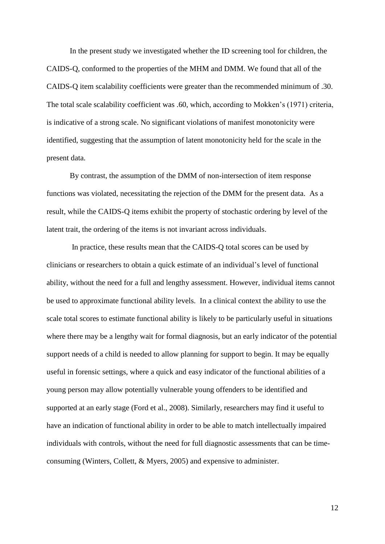In the present study we investigated whether the ID screening tool for children, the CAIDS-Q, conformed to the properties of the MHM and DMM. We found that all of the CAIDS-Q item scalability coefficients were greater than the recommended minimum of .30. The total scale scalability coefficient was .60, which, according to Mokken's (1971) criteria, is indicative of a strong scale. No significant violations of manifest monotonicity were identified, suggesting that the assumption of latent monotonicity held for the scale in the present data.

By contrast, the assumption of the DMM of non-intersection of item response functions was violated, necessitating the rejection of the DMM for the present data. As a result, while the CAIDS-Q items exhibit the property of stochastic ordering by level of the latent trait, the ordering of the items is not invariant across individuals.

 In practice, these results mean that the CAIDS-Q total scores can be used by clinicians or researchers to obtain a quick estimate of an individual's level of functional ability, without the need for a full and lengthy assessment. However, individual items cannot be used to approximate functional ability levels. In a clinical context the ability to use the scale total scores to estimate functional ability is likely to be particularly useful in situations where there may be a lengthy wait for formal diagnosis, but an early indicator of the potential support needs of a child is needed to allow planning for support to begin. It may be equally useful in forensic settings, where a quick and easy indicator of the functional abilities of a young person may allow potentially vulnerable young offenders to be identified and supported at an early stage (Ford et al., 2008). Similarly, researchers may find it useful to have an indication of functional ability in order to be able to match intellectually impaired individuals with controls, without the need for full diagnostic assessments that can be timeconsuming (Winters, Collett, & Myers, 2005) and expensive to administer.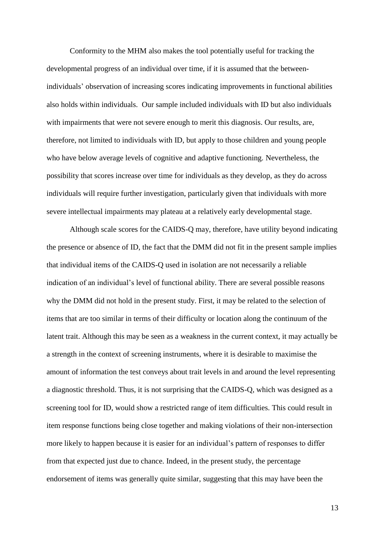Conformity to the MHM also makes the tool potentially useful for tracking the developmental progress of an individual over time, if it is assumed that the betweenindividuals' observation of increasing scores indicating improvements in functional abilities also holds within individuals. Our sample included individuals with ID but also individuals with impairments that were not severe enough to merit this diagnosis. Our results, are, therefore, not limited to individuals with ID, but apply to those children and young people who have below average levels of cognitive and adaptive functioning. Nevertheless, the possibility that scores increase over time for individuals as they develop, as they do across individuals will require further investigation, particularly given that individuals with more severe intellectual impairments may plateau at a relatively early developmental stage.

Although scale scores for the CAIDS-Q may, therefore, have utility beyond indicating the presence or absence of ID, the fact that the DMM did not fit in the present sample implies that individual items of the CAIDS-Q used in isolation are not necessarily a reliable indication of an individual's level of functional ability. There are several possible reasons why the DMM did not hold in the present study. First, it may be related to the selection of items that are too similar in terms of their difficulty or location along the continuum of the latent trait. Although this may be seen as a weakness in the current context, it may actually be a strength in the context of screening instruments, where it is desirable to maximise the amount of information the test conveys about trait levels in and around the level representing a diagnostic threshold. Thus, it is not surprising that the CAIDS-Q, which was designed as a screening tool for ID, would show a restricted range of item difficulties. This could result in item response functions being close together and making violations of their non-intersection more likely to happen because it is easier for an individual's pattern of responses to differ from that expected just due to chance. Indeed, in the present study, the percentage endorsement of items was generally quite similar, suggesting that this may have been the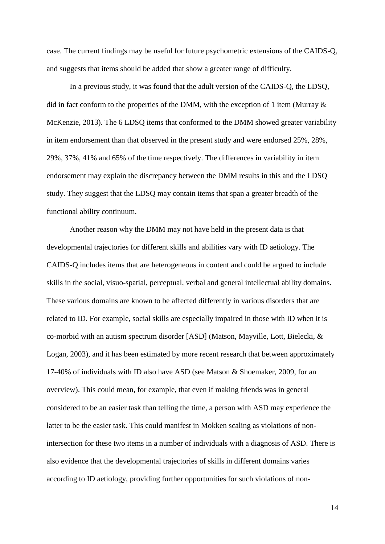case. The current findings may be useful for future psychometric extensions of the CAIDS-Q, and suggests that items should be added that show a greater range of difficulty.

In a previous study, it was found that the adult version of the CAIDS-Q, the LDSQ, did in fact conform to the properties of the DMM, with the exception of 1 item (Murray & McKenzie, 2013). The 6 LDSQ items that conformed to the DMM showed greater variability in item endorsement than that observed in the present study and were endorsed 25%, 28%, 29%, 37%, 41% and 65% of the time respectively. The differences in variability in item endorsement may explain the discrepancy between the DMM results in this and the LDSQ study. They suggest that the LDSQ may contain items that span a greater breadth of the functional ability continuum.

Another reason why the DMM may not have held in the present data is that developmental trajectories for different skills and abilities vary with ID aetiology. The CAIDS-Q includes items that are heterogeneous in content and could be argued to include skills in the social, visuo-spatial, perceptual, verbal and general intellectual ability domains. These various domains are known to be affected differently in various disorders that are related to ID. For example, social skills are especially impaired in those with ID when it is co-morbid with an autism spectrum disorder [ASD] (Matson, Mayville, Lott, Bielecki, & Logan, 2003), and it has been estimated by more recent research that between approximately 17-40% of individuals with ID also have ASD (see Matson & Shoemaker, 2009, for an overview). This could mean, for example, that even if making friends was in general considered to be an easier task than telling the time, a person with ASD may experience the latter to be the easier task. This could manifest in Mokken scaling as violations of nonintersection for these two items in a number of individuals with a diagnosis of ASD. There is also evidence that the developmental trajectories of skills in different domains varies according to ID aetiology, providing further opportunities for such violations of non-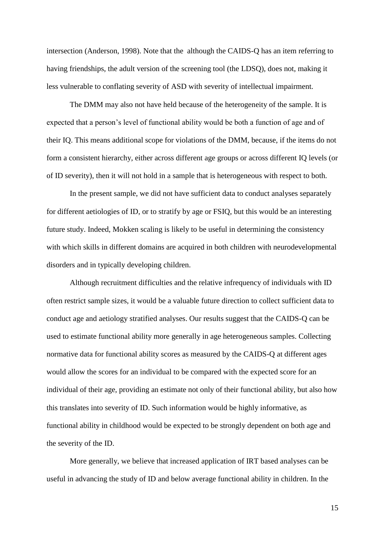intersection (Anderson, 1998). Note that the although the CAIDS-Q has an item referring to having friendships, the adult version of the screening tool (the LDSQ), does not, making it less vulnerable to conflating severity of ASD with severity of intellectual impairment.

The DMM may also not have held because of the heterogeneity of the sample. It is expected that a person's level of functional ability would be both a function of age and of their IQ. This means additional scope for violations of the DMM, because, if the items do not form a consistent hierarchy, either across different age groups or across different IQ levels (or of ID severity), then it will not hold in a sample that is heterogeneous with respect to both.

In the present sample, we did not have sufficient data to conduct analyses separately for different aetiologies of ID, or to stratify by age or FSIQ, but this would be an interesting future study. Indeed, Mokken scaling is likely to be useful in determining the consistency with which skills in different domains are acquired in both children with neurodevelopmental disorders and in typically developing children.

Although recruitment difficulties and the relative infrequency of individuals with ID often restrict sample sizes, it would be a valuable future direction to collect sufficient data to conduct age and aetiology stratified analyses. Our results suggest that the CAIDS-Q can be used to estimate functional ability more generally in age heterogeneous samples. Collecting normative data for functional ability scores as measured by the CAIDS-Q at different ages would allow the scores for an individual to be compared with the expected score for an individual of their age, providing an estimate not only of their functional ability, but also how this translates into severity of ID. Such information would be highly informative, as functional ability in childhood would be expected to be strongly dependent on both age and the severity of the ID.

More generally, we believe that increased application of IRT based analyses can be useful in advancing the study of ID and below average functional ability in children. In the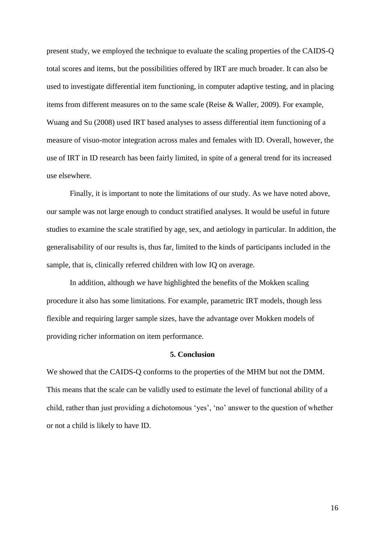present study, we employed the technique to evaluate the scaling properties of the CAIDS-Q total scores and items, but the possibilities offered by IRT are much broader. It can also be used to investigate differential item functioning, in computer adaptive testing, and in placing items from different measures on to the same scale (Reise & Waller, 2009). For example, Wuang and Su (2008) used IRT based analyses to assess differential item functioning of a measure of visuo-motor integration across males and females with ID. Overall, however, the use of IRT in ID research has been fairly limited, in spite of a general trend for its increased use elsewhere.

Finally, it is important to note the limitations of our study. As we have noted above, our sample was not large enough to conduct stratified analyses. It would be useful in future studies to examine the scale stratified by age, sex, and aetiology in particular. In addition, the generalisability of our results is, thus far, limited to the kinds of participants included in the sample, that is, clinically referred children with low IQ on average.

In addition, although we have highlighted the benefits of the Mokken scaling procedure it also has some limitations. For example, parametric IRT models, though less flexible and requiring larger sample sizes, have the advantage over Mokken models of providing richer information on item performance.

## **5. Conclusion**

We showed that the CAIDS-Q conforms to the properties of the MHM but not the DMM. This means that the scale can be validly used to estimate the level of functional ability of a child, rather than just providing a dichotomous 'yes', 'no' answer to the question of whether or not a child is likely to have ID.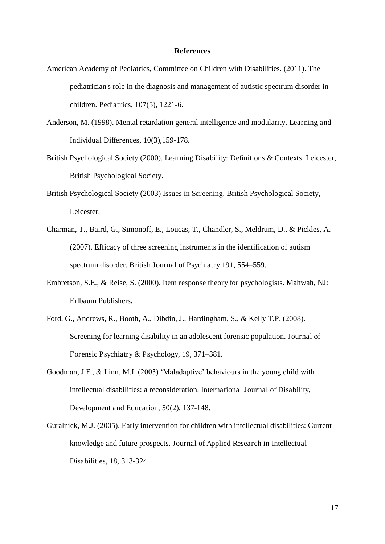#### **References**

- American Academy of Pediatrics, Committee on Children with Disabilities. (2011). The pediatrician's role in the diagnosis and management of autistic spectrum disorder in children. Pediatrics, 107(5), 1221-6.
- Anderson, M. (1998). Mental retardation general intelligence and modularity. Learning and Individual Differences, 10(3),159-178.
- British Psychological Society (2000). Learning Disability: Definitions & Contexts. Leicester, British Psychological Society.
- British Psychological Society (2003) Issues in Screening. British Psychological Society, Leicester.
- Charman, T., Baird, G., Simonoff, E., Loucas, T., Chandler, S., Meldrum, D., & Pickles, A. (2007). Efficacy of three screening instruments in the identification of autism spectrum disorder. British Journal of Psychiatry 191, 554–559.
- Embretson, S.E., & Reise, S. (2000). Item response theory for psychologists. Mahwah, NJ: Erlbaum Publishers.
- Ford, G., Andrews, R., Booth, A., Dibdin, J., Hardingham, S., & Kelly T.P. (2008). Screening for learning disability in an adolescent forensic population. Journal of Forensic Psychiatry & Psychology, 19, 371–381.
- Goodman, J.F., & Linn, M.I. (2003) 'Maladaptive' behaviours in the young child with intellectual disabilities: a reconsideration. International Journal of Disability, Development and Education, 50(2), 137-148.
- Guralnick, M.J. (2005). Early intervention for children with intellectual disabilities: Current knowledge and future prospects. Journal of Applied Research in Intellectual Disabilities, 18, 313-324.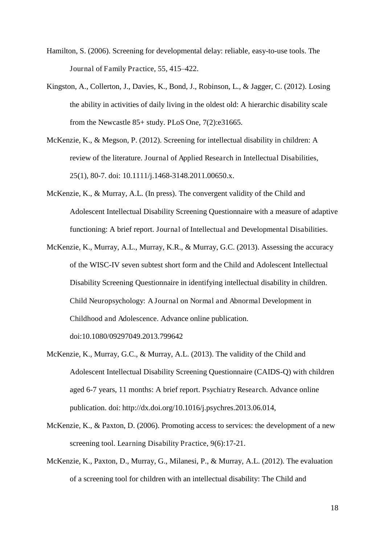- Hamilton, S. (2006). Screening for developmental delay: reliable, easy-to-use tools. The Journal of Family Practice, 55, 415–422.
- Kingston, A., Collerton, J., Davies, K., Bond, J., Robinson, L., & Jagger, C. (2012). Losing the ability in activities of daily living in the oldest old: A hierarchic disability scale from the Newcastle 85+ study. PLoS One, 7(2):e31665.
- McKenzie, K., & Megson, P. (2012). Screening for intellectual disability in children: A review of the literature. Journal of Applied Research in Intellectual Disabilities, 25(1), 80-7. doi: 10.1111/j.1468-3148.2011.00650.x.
- McKenzie, K., & Murray, A.L. (In press). The convergent validity of the Child and Adolescent Intellectual Disability Screening Questionnaire with a measure of adaptive functioning: A brief report. Journal of Intellectual and Developmental Disabilities.
- McKenzie, K., Murray, A.L., Murray, K.R., & Murray, G.C. (2013). Assessing the accuracy of the WISC-IV seven subtest short form and the Child and Adolescent Intellectual Disability Screening Questionnaire in identifying intellectual disability in children. Child Neuropsychology: A Journal on Normal and Abnormal Development in Childhood and Adolescence. Advance online publication.

doi:10.1080/09297049.2013.799642

- McKenzie, K., Murray, G.C., & Murray, A.L. (2013). The validity of the Child and Adolescent Intellectual Disability Screening Questionnaire (CAIDS-Q) with children aged 6-7 years, 11 months: A brief report. Psychiatry Research. Advance online publication. doi: http://dx.doi.org/10.1016/j.psychres.2013.06.014,
- McKenzie, K., & Paxton, D. (2006). Promoting access to services: the development of a new screening tool. Learning Disability Practice, 9(6):17-21.
- McKenzie, K., Paxton, D., Murray, G., Milanesi, P., & Murray, A.L. (2012). The evaluation of a screening tool for children with an intellectual disability: The Child and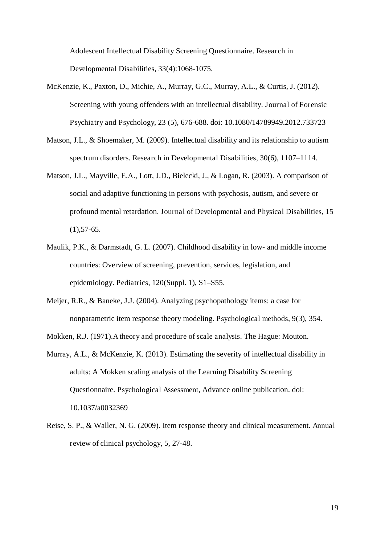Adolescent Intellectual Disability Screening Questionnaire. Research in Developmental Disabilities, 33(4):1068-1075.

- McKenzie, K., Paxton, D., Michie, A., Murray, G.C., Murray, A.L., & Curtis, J. (2012). Screening with young offenders with an intellectual disability. Journal of Forensic Psychiatry and Psychology, 23 (5), 676-688. doi: 10.1080/14789949.2012.733723
- Matson, J.L., & Shoemaker, M. (2009). Intellectual disability and its relationship to autism spectrum disorders. Research in Developmental Disabilities, 30(6), 1107–1114.
- Matson, J.L., Mayville, E.A., Lott, J.D., Bielecki, J., & Logan, R. (2003). A comparison of social and adaptive functioning in persons with psychosis, autism, and severe or profound mental retardation. Journal of Developmental and Physical Disabilities, 15  $(1), 57-65.$
- Maulik, P.K., & Darmstadt, G. L. (2007). Childhood disability in low- and middle income countries: Overview of screening, prevention, services, legislation, and epidemiology. Pediatrics, 120(Suppl. 1), S1–S55.
- Meijer, R.R., & Baneke, J.J. (2004). Analyzing psychopathology items: a case for nonparametric item response theory modeling. Psychological methods, 9(3), 354.
- Mokken, R.J. (1971).A theory and procedure of scale analysis. The Hague: Mouton.
- Murray, A.L., & McKenzie, K. (2013). Estimating the severity of intellectual disability in adults: A Mokken scaling analysis of the Learning Disability Screening Questionnaire. Psychological Assessment, Advance online publication. doi: 10.1037/a0032369
- Reise, S. P., & Waller, N. G. (2009). Item response theory and clinical measurement. Annual review of clinical psychology, 5, 27-48.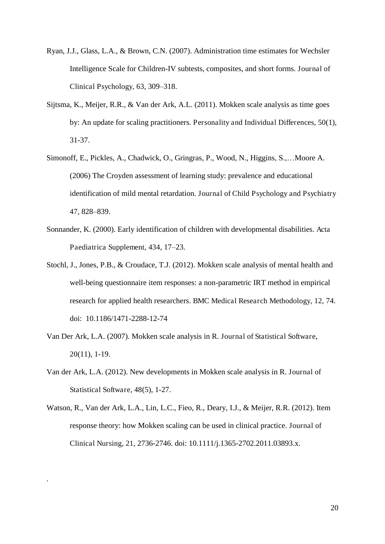- Ryan, J.J., Glass, L.A., & Brown, C.N. (2007). Administration time estimates for Wechsler Intelligence Scale for Children-IV subtests, composites, and short forms. Journal of Clinical Psychology, 63, 309–318.
- Sijtsma, K., Meijer, R.R., & Van der Ark, A.L. (2011). Mokken scale analysis as time goes by: An update for scaling practitioners. Personality and Individual Differences, 50(1), 31-37.
- Simonoff, E., Pickles, A., Chadwick, O., Gringras, P., Wood, N., Higgins, S.,…Moore A. (2006) The Croyden assessment of learning study: prevalence and educational identification of mild mental retardation. Journal of Child Psychology and Psychiatry 47, 828–839.
- Sonnander, K. (2000). Early identification of children with developmental disabilities. Acta Paediatrica Supplement, 434, 17–23.
- Stochl, J., Jones, P.B., & Croudace, T.J. (2012). Mokken scale analysis of mental health and well-being questionnaire item responses: a non-parametric IRT method in empirical research for applied health researchers. BMC Medical Research Methodology, 12, 74. doi: 10.1186/1471-2288-12-74
- Van Der Ark, L.A. (2007). Mokken scale analysis in R. Journal of Statistical Software, 20(11), 1-19.
- Van der Ark, L.A. (2012). New developments in Mokken scale analysis in R. Journal of Statistical Software, 48(5), 1-27.
- Watson, R., Van der Ark, L.A., Lin, L.C., Fieo, R., Deary, I.J., & Meijer, R.R. (2012). Item response theory: how Mokken scaling can be used in clinical practice. Journal of Clinical Nursing, 21, 2736-2746. doi: 10.1111/j.1365-2702.2011.03893.x.

.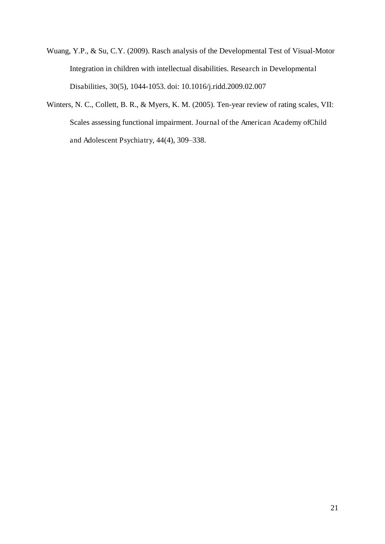- Wuang, Y.P., & Su, C.Y. (2009). Rasch analysis of the Developmental Test of Visual-Motor Integration in children with intellectual disabilities. Research in Developmental Disabilities, 30(5), 1044-1053. doi: 10.1016/j.ridd.2009.02.007
- Winters, N. C., Collett, B. R., & Myers, K. M. (2005). Ten-year review of rating scales, VII: Scales assessing functional impairment. Journal of the American Academy ofChild and Adolescent Psychiatry, 44(4), 309–338.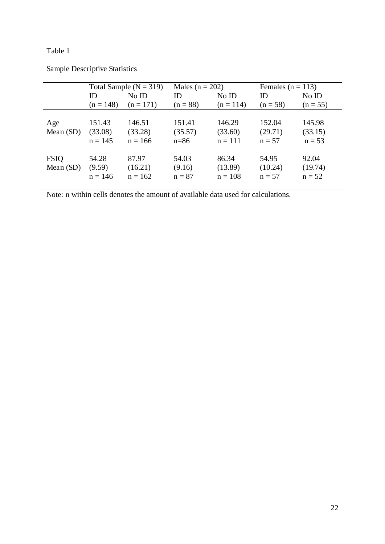Table 1

|  | Sample Descriptive Statistics |
|--|-------------------------------|
|  |                               |

|                            | Total Sample ( $N = 319$ )<br>No ID<br>ID |                                | Males ( $n = 202$ )           |                                | Females ( $n = 113$ )         |                               |  |
|----------------------------|-------------------------------------------|--------------------------------|-------------------------------|--------------------------------|-------------------------------|-------------------------------|--|
|                            |                                           |                                | ID                            | No ID                          | ID                            | No ID                         |  |
|                            | $(n = 148)$                               | $(n = 171)$                    | $(n = 88)$                    | $(n = 114)$                    | $(n = 58)$                    | $(n = 55)$                    |  |
| Age<br>Mean $(SD)$         | 151.43<br>(33.08)<br>$n = 145$            | 146.51<br>(33.28)<br>$n = 166$ | 151.41<br>(35.57)<br>$n = 86$ | 146.29<br>(33.60)<br>$n = 111$ | 152.04<br>(29.71)<br>$n = 57$ | 145.98<br>(33.15)<br>$n = 53$ |  |
| <b>FSIQ</b><br>Mean $(SD)$ | 54.28<br>(9.59)<br>$n = 146$              | 87.97<br>(16.21)<br>$n = 162$  | 54.03<br>(9.16)<br>$n = 87$   | 86.34<br>(13.89)<br>$n = 108$  | 54.95<br>(10.24)<br>$n = 57$  | 92.04<br>(19.74)<br>$n = 52$  |  |

Note: n within cells denotes the amount of available data used for calculations.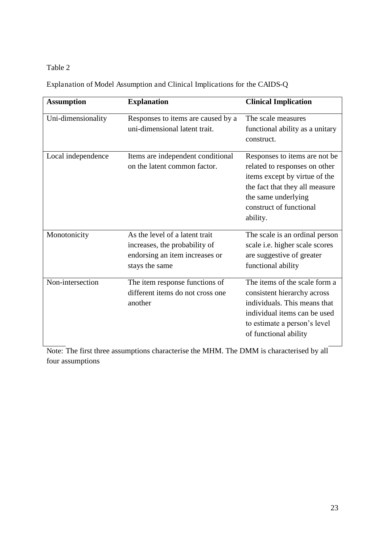# Table 2

Explanation of Model Assumption and Clinical Implications for the CAIDS-Q

| <b>Assumption</b>  | <b>Explanation</b>                                                                                                  | <b>Clinical Implication</b>                                                                                                                                                                     |  |  |  |
|--------------------|---------------------------------------------------------------------------------------------------------------------|-------------------------------------------------------------------------------------------------------------------------------------------------------------------------------------------------|--|--|--|
| Uni-dimensionality | Responses to items are caused by a<br>uni-dimensional latent trait.                                                 | The scale measures<br>functional ability as a unitary<br>construct.                                                                                                                             |  |  |  |
| Local independence | Items are independent conditional<br>on the latent common factor.                                                   | Responses to items are not be<br>related to responses on other<br>items except by virtue of the<br>the fact that they all measure<br>the same underlying<br>construct of functional<br>ability. |  |  |  |
| Monotonicity       | As the level of a latent trait<br>increases, the probability of<br>endorsing an item increases or<br>stays the same | The scale is an ordinal person<br>scale i.e. higher scale scores<br>are suggestive of greater<br>functional ability                                                                             |  |  |  |
| Non-intersection   | The item response functions of<br>different items do not cross one<br>another                                       | The items of the scale form a<br>consistent hierarchy across<br>individuals. This means that<br>individual items can be used<br>to estimate a person's level<br>of functional ability           |  |  |  |

Note: The first three assumptions characterise the MHM. The DMM is characterised by all four assumptions